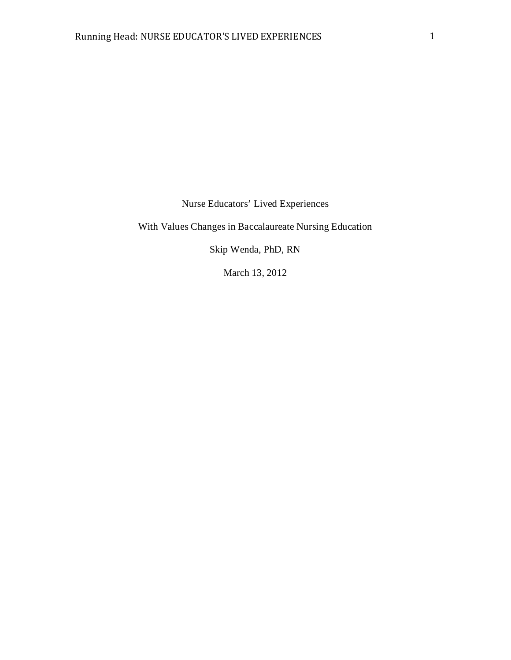Nurse Educators' Lived Experiences

With Values Changes in Baccalaureate Nursing Education

Skip Wenda, PhD, RN

March 13, 2012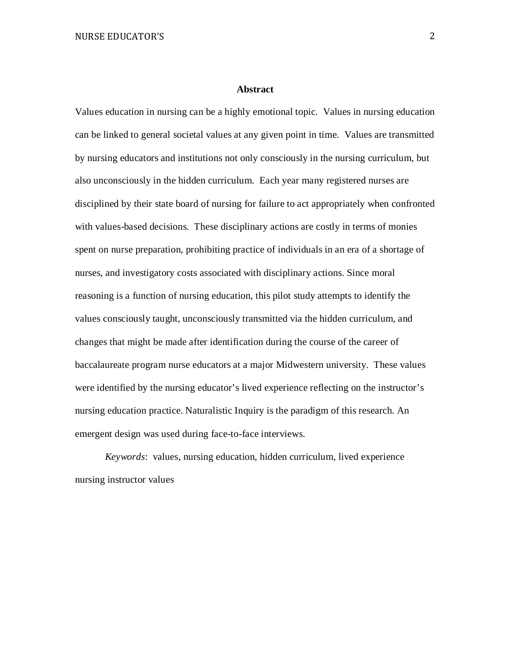#### **Abstract**

Values education in nursing can be a highly emotional topic. Values in nursing education can be linked to general societal values at any given point in time. Values are transmitted by nursing educators and institutions not only consciously in the nursing curriculum, but also unconsciously in the hidden curriculum. Each year many registered nurses are disciplined by their state board of nursing for failure to act appropriately when confronted with values-based decisions. These disciplinary actions are costly in terms of monies spent on nurse preparation, prohibiting practice of individuals in an era of a shortage of nurses, and investigatory costs associated with disciplinary actions. Since moral reasoning is a function of nursing education, this pilot study attempts to identify the values consciously taught, unconsciously transmitted via the hidden curriculum, and changes that might be made after identification during the course of the career of baccalaureate program nurse educators at a major Midwestern university. These values were identified by the nursing educator's lived experience reflecting on the instructor's nursing education practice. Naturalistic Inquiry is the paradigm of this research. An emergent design was used during face-to-face interviews.

*Keywords*: values, nursing education, hidden curriculum, lived experience nursing instructor values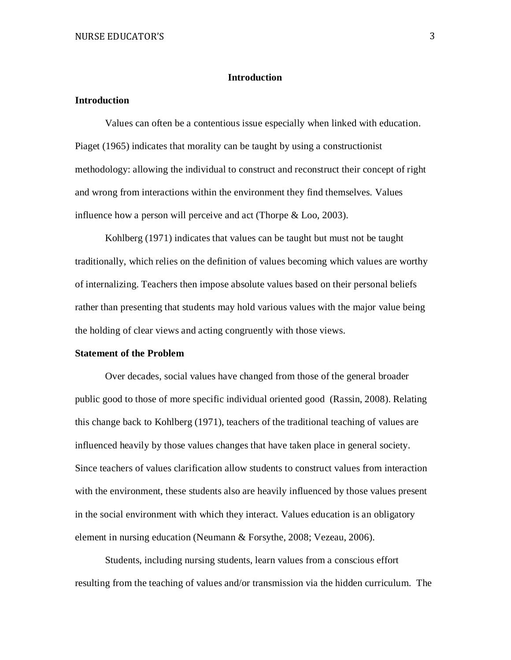#### **Introduction**

# **Introduction**

Values can often be a contentious issue especially when linked with education. Piaget (1965) indicates that morality can be taught by using a constructionist methodology: allowing the individual to construct and reconstruct their concept of right and wrong from interactions within the environment they find themselves. Values influence how a person will perceive and act (Thorpe & Loo, 2003).

Kohlberg (1971) indicates that values can be taught but must not be taught traditionally, which relies on the definition of values becoming which values are worthy of internalizing. Teachers then impose absolute values based on their personal beliefs rather than presenting that students may hold various values with the major value being the holding of clear views and acting congruently with those views.

## **Statement of the Problem**

Over decades, social values have changed from those of the general broader public good to those of more specific individual oriented good (Rassin, 2008). Relating this change back to Kohlberg (1971), teachers of the traditional teaching of values are influenced heavily by those values changes that have taken place in general society. Since teachers of values clarification allow students to construct values from interaction with the environment, these students also are heavily influenced by those values present in the social environment with which they interact. Values education is an obligatory element in nursing education (Neumann & Forsythe, 2008; Vezeau, 2006).

Students, including nursing students, learn values from a conscious effort resulting from the teaching of values and/or transmission via the hidden curriculum. The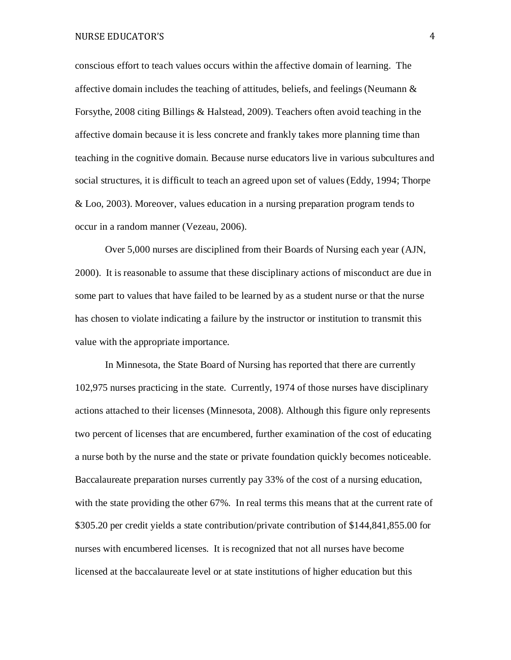conscious effort to teach values occurs within the affective domain of learning. The affective domain includes the teaching of attitudes, beliefs, and feelings (Neumann  $\&$ Forsythe, 2008 citing Billings & Halstead, 2009). Teachers often avoid teaching in the affective domain because it is less concrete and frankly takes more planning time than teaching in the cognitive domain. Because nurse educators live in various subcultures and social structures, it is difficult to teach an agreed upon set of values (Eddy, 1994; Thorpe & Loo, 2003). Moreover, values education in a nursing preparation program tends to occur in a random manner (Vezeau, 2006).

Over 5,000 nurses are disciplined from their Boards of Nursing each year (AJN, 2000). It is reasonable to assume that these disciplinary actions of misconduct are due in some part to values that have failed to be learned by as a student nurse or that the nurse has chosen to violate indicating a failure by the instructor or institution to transmit this value with the appropriate importance.

In Minnesota, the State Board of Nursing has reported that there are currently 102,975 nurses practicing in the state. Currently, 1974 of those nurses have disciplinary actions attached to their licenses (Minnesota, 2008). Although this figure only represents two percent of licenses that are encumbered, further examination of the cost of educating a nurse both by the nurse and the state or private foundation quickly becomes noticeable. Baccalaureate preparation nurses currently pay 33% of the cost of a nursing education, with the state providing the other 67%. In real terms this means that at the current rate of \$305.20 per credit yields a state contribution/private contribution of \$144,841,855.00 for nurses with encumbered licenses. It is recognized that not all nurses have become licensed at the baccalaureate level or at state institutions of higher education but this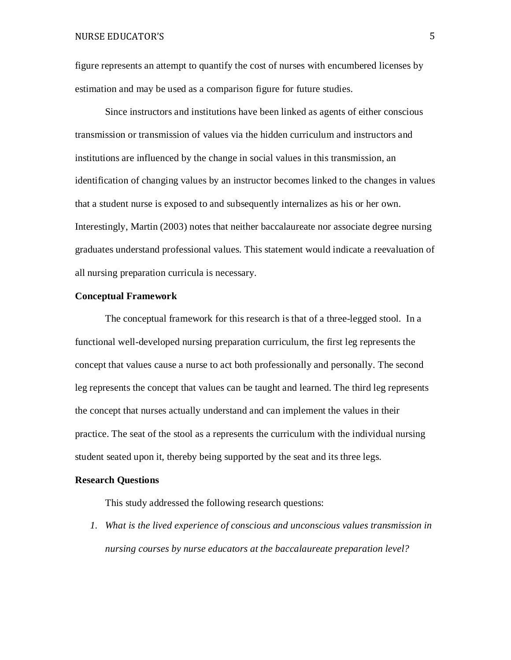figure represents an attempt to quantify the cost of nurses with encumbered licenses by estimation and may be used as a comparison figure for future studies.

Since instructors and institutions have been linked as agents of either conscious transmission or transmission of values via the hidden curriculum and instructors and institutions are influenced by the change in social values in this transmission, an identification of changing values by an instructor becomes linked to the changes in values that a student nurse is exposed to and subsequently internalizes as his or her own. Interestingly, Martin (2003) notes that neither baccalaureate nor associate degree nursing graduates understand professional values. This statement would indicate a reevaluation of all nursing preparation curricula is necessary.

## **Conceptual Framework**

The conceptual framework for this research is that of a three-legged stool. In a functional well-developed nursing preparation curriculum, the first leg represents the concept that values cause a nurse to act both professionally and personally. The second leg represents the concept that values can be taught and learned. The third leg represents the concept that nurses actually understand and can implement the values in their practice. The seat of the stool as a represents the curriculum with the individual nursing student seated upon it, thereby being supported by the seat and its three legs.

#### **Research Questions**

This study addressed the following research questions:

*1. What is the lived experience of conscious and unconscious values transmission in nursing courses by nurse educators at the baccalaureate preparation level?*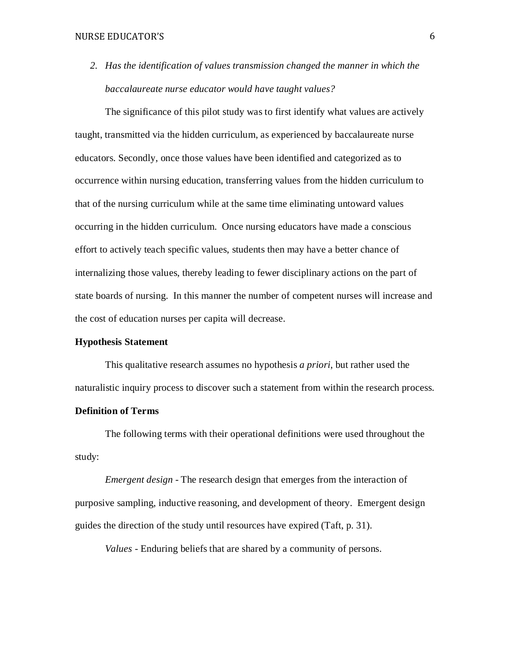*2. Has the identification of values transmission changed the manner in which the baccalaureate nurse educator would have taught values?*

The significance of this pilot study was to first identify what values are actively taught, transmitted via the hidden curriculum, as experienced by baccalaureate nurse educators. Secondly, once those values have been identified and categorized as to occurrence within nursing education, transferring values from the hidden curriculum to that of the nursing curriculum while at the same time eliminating untoward values occurring in the hidden curriculum. Once nursing educators have made a conscious effort to actively teach specific values, students then may have a better chance of internalizing those values, thereby leading to fewer disciplinary actions on the part of state boards of nursing. In this manner the number of competent nurses will increase and the cost of education nurses per capita will decrease.

## **Hypothesis Statement**

This qualitative research assumes no hypothesis *a priori*, but rather used the naturalistic inquiry process to discover such a statement from within the research process.

# **Definition of Terms**

The following terms with their operational definitions were used throughout the study:

*Emergent design* - The research design that emerges from the interaction of purposive sampling, inductive reasoning, and development of theory. Emergent design guides the direction of the study until resources have expired (Taft, p. 31).

*Values* - Enduring beliefs that are shared by a community of persons.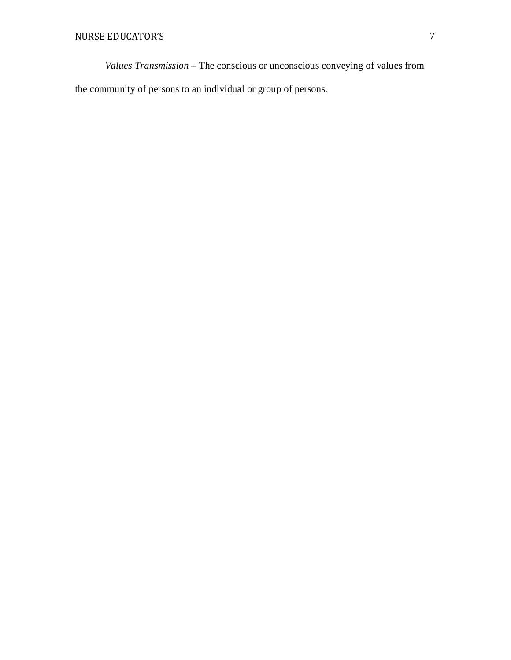*Values Transmission* – The conscious or unconscious conveying of values from the community of persons to an individual or group of persons.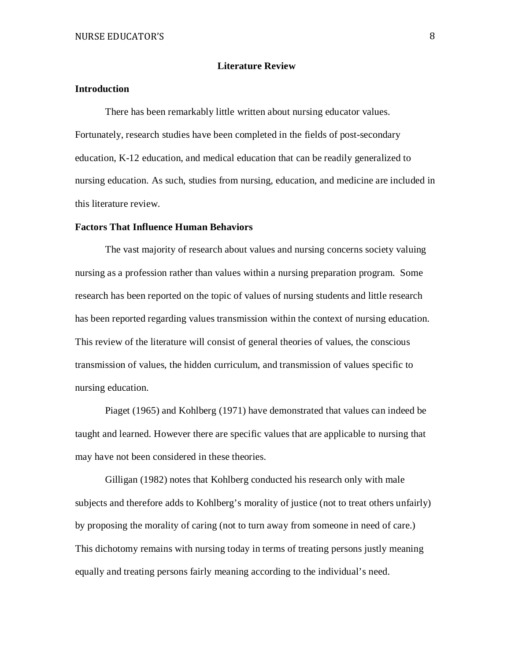## **Literature Review**

# **Introduction**

There has been remarkably little written about nursing educator values. Fortunately, research studies have been completed in the fields of post-secondary education, K-12 education, and medical education that can be readily generalized to nursing education. As such, studies from nursing, education, and medicine are included in this literature review.

#### **Factors That Influence Human Behaviors**

The vast majority of research about values and nursing concerns society valuing nursing as a profession rather than values within a nursing preparation program. Some research has been reported on the topic of values of nursing students and little research has been reported regarding values transmission within the context of nursing education. This review of the literature will consist of general theories of values, the conscious transmission of values, the hidden curriculum, and transmission of values specific to nursing education.

Piaget (1965) and Kohlberg (1971) have demonstrated that values can indeed be taught and learned. However there are specific values that are applicable to nursing that may have not been considered in these theories.

Gilligan (1982) notes that Kohlberg conducted his research only with male subjects and therefore adds to Kohlberg's morality of justice (not to treat others unfairly) by proposing the morality of caring (not to turn away from someone in need of care.) This dichotomy remains with nursing today in terms of treating persons justly meaning equally and treating persons fairly meaning according to the individual's need.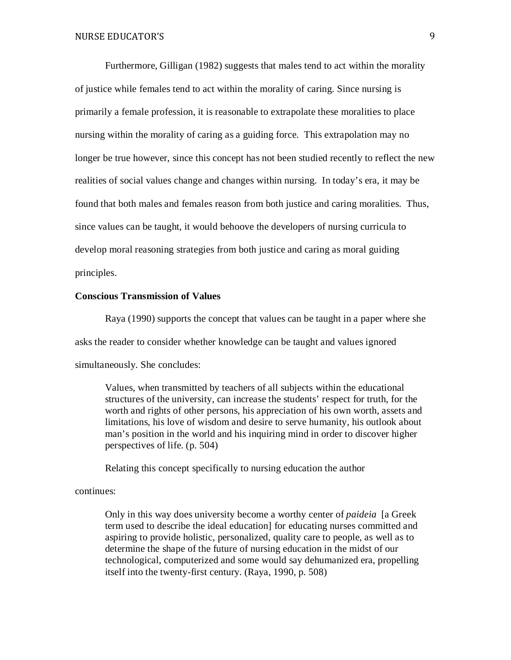Furthermore, Gilligan (1982) suggests that males tend to act within the morality of justice while females tend to act within the morality of caring. Since nursing is primarily a female profession, it is reasonable to extrapolate these moralities to place nursing within the morality of caring as a guiding force. This extrapolation may no longer be true however, since this concept has not been studied recently to reflect the new realities of social values change and changes within nursing. In today's era, it may be found that both males and females reason from both justice and caring moralities. Thus, since values can be taught, it would behoove the developers of nursing curricula to develop moral reasoning strategies from both justice and caring as moral guiding principles.

#### **Conscious Transmission of Values**

Raya (1990) supports the concept that values can be taught in a paper where she asks the reader to consider whether knowledge can be taught and values ignored simultaneously. She concludes:

Values, when transmitted by teachers of all subjects within the educational structures of the university, can increase the students' respect for truth, for the worth and rights of other persons, his appreciation of his own worth, assets and limitations, his love of wisdom and desire to serve humanity, his outlook about man's position in the world and his inquiring mind in order to discover higher perspectives of life. (p. 504)

Relating this concept specifically to nursing education the author

#### continues:

Only in this way does university become a worthy center of *paideia* [a Greek term used to describe the ideal education] for educating nurses committed and aspiring to provide holistic, personalized, quality care to people, as well as to determine the shape of the future of nursing education in the midst of our technological, computerized and some would say dehumanized era, propelling itself into the twenty-first century. (Raya, 1990, p. 508)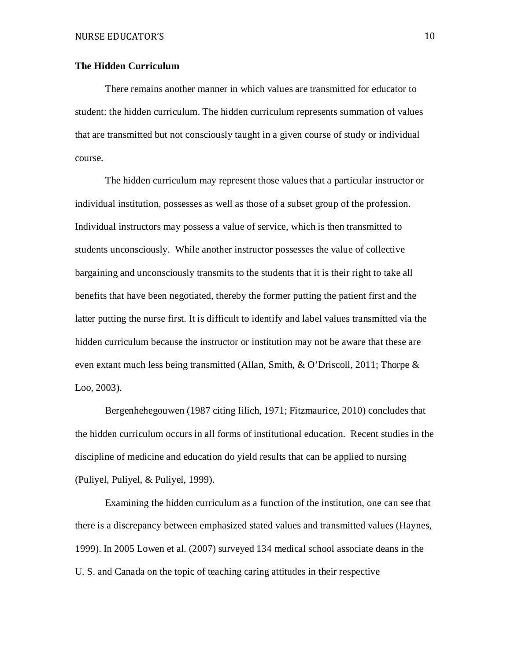# **The Hidden Curriculum**

There remains another manner in which values are transmitted for educator to student: the hidden curriculum. The hidden curriculum represents summation of values that are transmitted but not consciously taught in a given course of study or individual course.

The hidden curriculum may represent those values that a particular instructor or individual institution, possesses as well as those of a subset group of the profession. Individual instructors may possess a value of service, which is then transmitted to students unconsciously. While another instructor possesses the value of collective bargaining and unconsciously transmits to the students that it is their right to take all benefits that have been negotiated, thereby the former putting the patient first and the latter putting the nurse first. It is difficult to identify and label values transmitted via the hidden curriculum because the instructor or institution may not be aware that these are even extant much less being transmitted (Allan, Smith, & O'Driscoll, 2011; Thorpe & Loo, 2003).

Bergenhehegouwen (1987 citing Iilich, 1971; Fitzmaurice, 2010) concludes that the hidden curriculum occurs in all forms of institutional education. Recent studies in the discipline of medicine and education do yield results that can be applied to nursing (Puliyel, Puliyel, & Puliyel, 1999).

Examining the hidden curriculum as a function of the institution, one can see that there is a discrepancy between emphasized stated values and transmitted values (Haynes, 1999). In 2005 Lowen et al. (2007) surveyed 134 medical school associate deans in the U. S. and Canada on the topic of teaching caring attitudes in their respective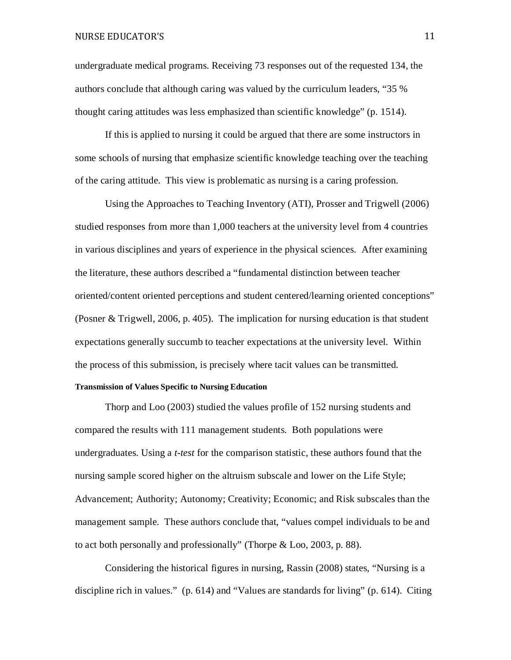undergraduate medical programs. Receiving 73 responses out of the requested 134, the authors conclude that although caring was valued by the curriculum leaders, "35 % thought caring attitudes was less emphasized than scientific knowledge" (p. 1514).

If this is applied to nursing it could be argued that there are some instructors in some schools of nursing that emphasize scientific knowledge teaching over the teaching of the caring attitude. This view is problematic as nursing is a caring profession.

Using the Approaches to Teaching Inventory (ATI), Prosser and Trigwell (2006) studied responses from more than 1,000 teachers at the university level from 4 countries in various disciplines and years of experience in the physical sciences. After examining the literature, these authors described a "fundamental distinction between teacher oriented/content oriented perceptions and student centered/learning oriented conceptions" (Posner & Trigwell, 2006, p. 405). The implication for nursing education is that student expectations generally succumb to teacher expectations at the university level. Within the process of this submission, is precisely where tacit values can be transmitted. **Transmission of Values Specific to Nursing Education**

Thorp and Loo (2003) studied the values profile of 152 nursing students and compared the results with 111 management students. Both populations were undergraduates. Using a *t-test* for the comparison statistic, these authors found that the nursing sample scored higher on the altruism subscale and lower on the Life Style; Advancement; Authority; Autonomy; Creativity; Economic; and Risk subscales than the management sample. These authors conclude that, "values compel individuals to be and to act both personally and professionally" (Thorpe & Loo, 2003, p. 88).

Considering the historical figures in nursing, Rassin (2008) states, "Nursing is a discipline rich in values." (p. 614) and "Values are standards for living" (p. 614). Citing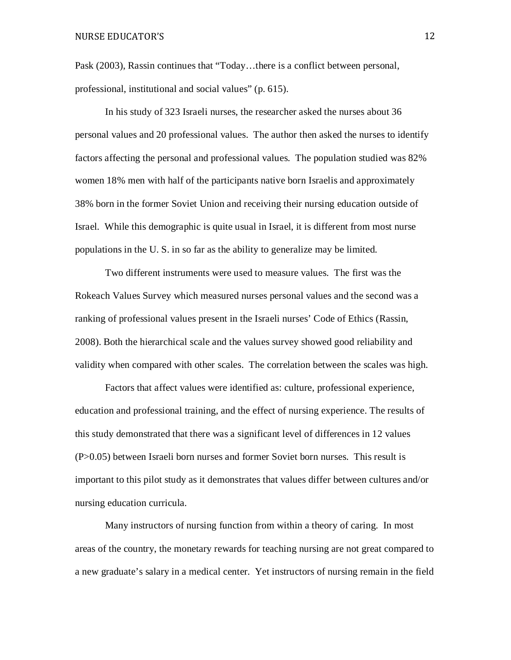Pask (2003), Rassin continues that "Today…there is a conflict between personal, professional, institutional and social values" (p. 615).

In his study of 323 Israeli nurses, the researcher asked the nurses about 36 personal values and 20 professional values. The author then asked the nurses to identify factors affecting the personal and professional values. The population studied was 82% women 18% men with half of the participants native born Israelis and approximately 38% born in the former Soviet Union and receiving their nursing education outside of Israel. While this demographic is quite usual in Israel, it is different from most nurse populations in the U. S. in so far as the ability to generalize may be limited.

Two different instruments were used to measure values. The first was the Rokeach Values Survey which measured nurses personal values and the second was a ranking of professional values present in the Israeli nurses' Code of Ethics (Rassin, 2008). Both the hierarchical scale and the values survey showed good reliability and validity when compared with other scales. The correlation between the scales was high.

Factors that affect values were identified as: culture, professional experience, education and professional training, and the effect of nursing experience. The results of this study demonstrated that there was a significant level of differences in 12 values (P>0.05) between Israeli born nurses and former Soviet born nurses. This result is important to this pilot study as it demonstrates that values differ between cultures and/or nursing education curricula.

Many instructors of nursing function from within a theory of caring. In most areas of the country, the monetary rewards for teaching nursing are not great compared to a new graduate's salary in a medical center. Yet instructors of nursing remain in the field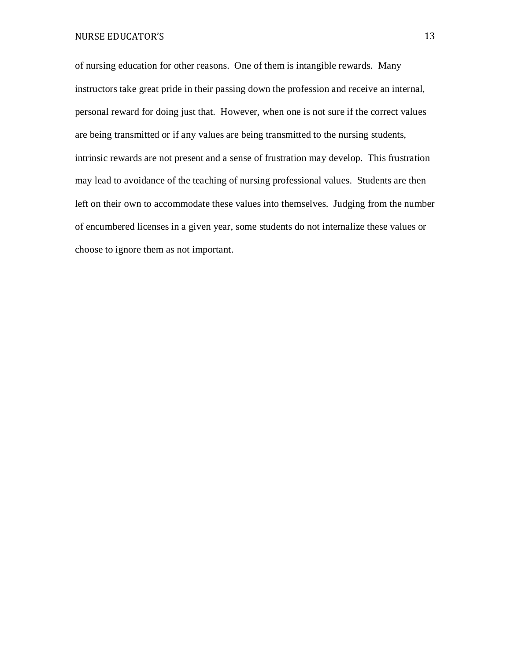of nursing education for other reasons. One of them is intangible rewards. Many instructors take great pride in their passing down the profession and receive an internal, personal reward for doing just that. However, when one is not sure if the correct values are being transmitted or if any values are being transmitted to the nursing students, intrinsic rewards are not present and a sense of frustration may develop. This frustration may lead to avoidance of the teaching of nursing professional values. Students are then left on their own to accommodate these values into themselves. Judging from the number of encumbered licenses in a given year, some students do not internalize these values or choose to ignore them as not important.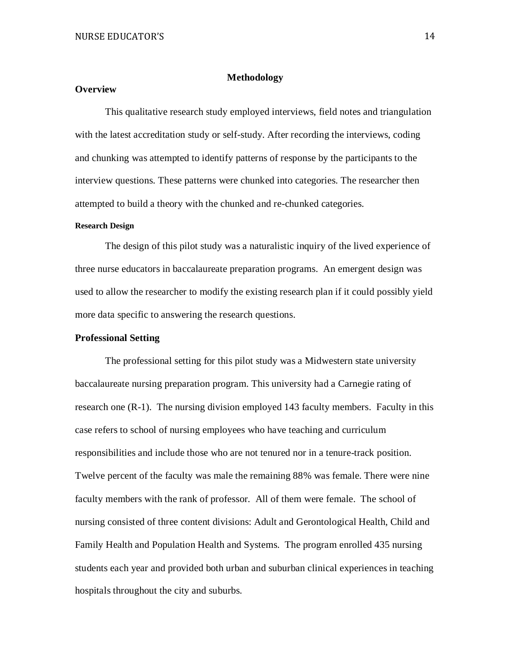## **Methodology**

# **Overview**

This qualitative research study employed interviews, field notes and triangulation with the latest accreditation study or self-study. After recording the interviews, coding and chunking was attempted to identify patterns of response by the participants to the interview questions. These patterns were chunked into categories. The researcher then attempted to build a theory with the chunked and re-chunked categories.

#### **Research Design**

The design of this pilot study was a naturalistic inquiry of the lived experience of three nurse educators in baccalaureate preparation programs. An emergent design was used to allow the researcher to modify the existing research plan if it could possibly yield more data specific to answering the research questions.

## **Professional Setting**

The professional setting for this pilot study was a Midwestern state university baccalaureate nursing preparation program. This university had a Carnegie rating of research one (R-1). The nursing division employed 143 faculty members. Faculty in this case refers to school of nursing employees who have teaching and curriculum responsibilities and include those who are not tenured nor in a tenure-track position. Twelve percent of the faculty was male the remaining 88% was female. There were nine faculty members with the rank of professor. All of them were female. The school of nursing consisted of three content divisions: Adult and Gerontological Health, Child and Family Health and Population Health and Systems. The program enrolled 435 nursing students each year and provided both urban and suburban clinical experiences in teaching hospitals throughout the city and suburbs.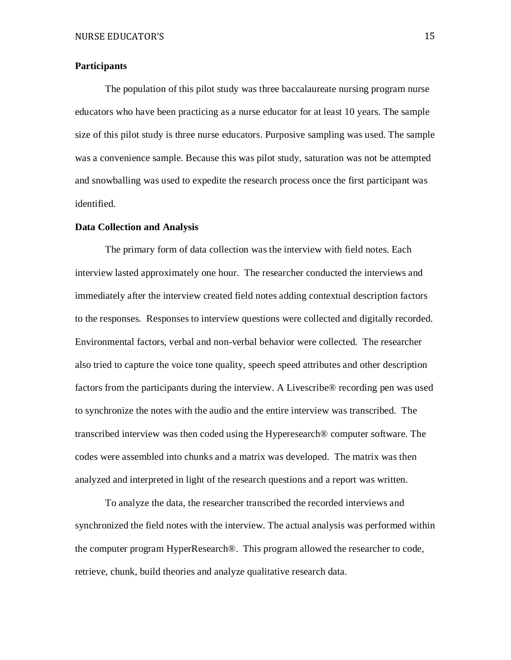## **Participants**

The population of this pilot study was three baccalaureate nursing program nurse educators who have been practicing as a nurse educator for at least 10 years. The sample size of this pilot study is three nurse educators. Purposive sampling was used. The sample was a convenience sample. Because this was pilot study, saturation was not be attempted and snowballing was used to expedite the research process once the first participant was identified.

### **Data Collection and Analysis**

The primary form of data collection was the interview with field notes. Each interview lasted approximately one hour. The researcher conducted the interviews and immediately after the interview created field notes adding contextual description factors to the responses. Responses to interview questions were collected and digitally recorded. Environmental factors, verbal and non-verbal behavior were collected. The researcher also tried to capture the voice tone quality, speech speed attributes and other description factors from the participants during the interview. A Livescribe® recording pen was used to synchronize the notes with the audio and the entire interview was transcribed. The transcribed interview was then coded using the Hyperesearch® computer software. The codes were assembled into chunks and a matrix was developed. The matrix was then analyzed and interpreted in light of the research questions and a report was written.

To analyze the data, the researcher transcribed the recorded interviews and synchronized the field notes with the interview. The actual analysis was performed within the computer program HyperResearch®. This program allowed the researcher to code, retrieve, chunk, build theories and analyze qualitative research data.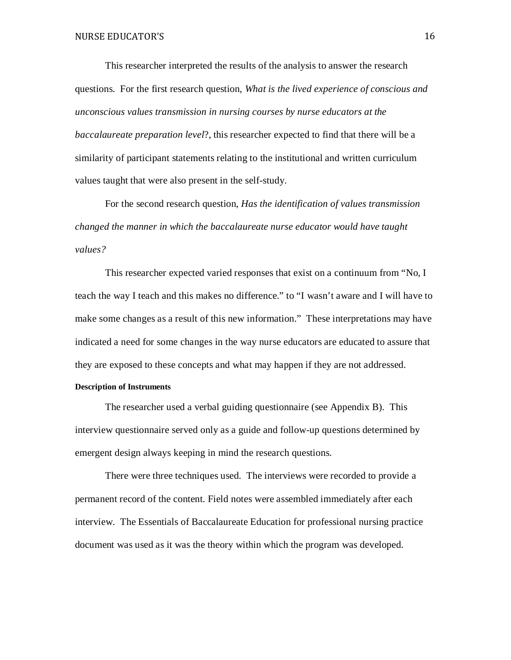This researcher interpreted the results of the analysis to answer the research questions. For the first research question, *What is the lived experience of conscious and unconscious values transmission in nursing courses by nurse educators at the baccalaureate preparation level*?, this researcher expected to find that there will be a similarity of participant statements relating to the institutional and written curriculum values taught that were also present in the self-study.

For the second research question, *Has the identification of values transmission changed the manner in which the baccalaureate nurse educator would have taught values?*

This researcher expected varied responses that exist on a continuum from "No, I teach the way I teach and this makes no difference." to "I wasn't aware and I will have to make some changes as a result of this new information." These interpretations may have indicated a need for some changes in the way nurse educators are educated to assure that they are exposed to these concepts and what may happen if they are not addressed. **Description of Instruments** 

The researcher used a verbal guiding questionnaire (see Appendix B). This interview questionnaire served only as a guide and follow-up questions determined by emergent design always keeping in mind the research questions.

There were three techniques used. The interviews were recorded to provide a permanent record of the content. Field notes were assembled immediately after each interview. The Essentials of Baccalaureate Education for professional nursing practice document was used as it was the theory within which the program was developed.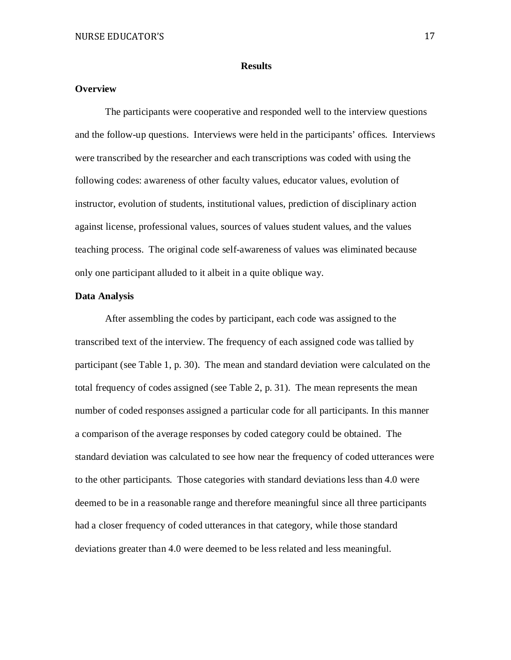#### **Results**

# **Overview**

The participants were cooperative and responded well to the interview questions and the follow-up questions. Interviews were held in the participants' offices. Interviews were transcribed by the researcher and each transcriptions was coded with using the following codes: awareness of other faculty values, educator values, evolution of instructor, evolution of students, institutional values, prediction of disciplinary action against license, professional values, sources of values student values, and the values teaching process. The original code self-awareness of values was eliminated because only one participant alluded to it albeit in a quite oblique way.

## **Data Analysis**

After assembling the codes by participant, each code was assigned to the transcribed text of the interview. The frequency of each assigned code was tallied by participant (see Table 1, p. 30). The mean and standard deviation were calculated on the total frequency of codes assigned (see Table 2, p. 31). The mean represents the mean number of coded responses assigned a particular code for all participants. In this manner a comparison of the average responses by coded category could be obtained. The standard deviation was calculated to see how near the frequency of coded utterances were to the other participants. Those categories with standard deviations less than 4.0 were deemed to be in a reasonable range and therefore meaningful since all three participants had a closer frequency of coded utterances in that category, while those standard deviations greater than 4.0 were deemed to be less related and less meaningful.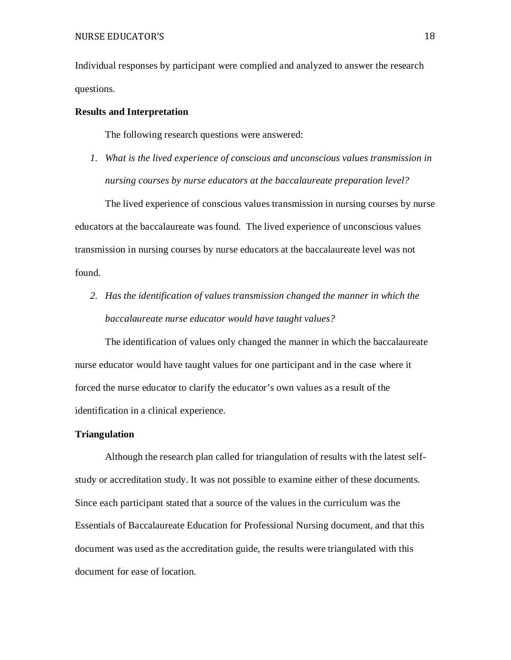Individual responses by participant were complied and analyzed to answer the research questions.

## **Results and Interpretation**

The following research questions were answered:

*1. What is the lived experience of conscious and unconscious values transmission in nursing courses by nurse educators at the baccalaureate preparation level?*

The lived experience of conscious values transmission in nursing courses by nurse educators at the baccalaureate was found. The lived experience of unconscious values transmission in nursing courses by nurse educators at the baccalaureate level was not found.

*2. Has the identification of values transmission changed the manner in which the baccalaureate nurse educator would have taught values?* 

The identification of values only changed the manner in which the baccalaureate nurse educator would have taught values for one participant and in the case where it forced the nurse educator to clarify the educator's own values as a result of the identification in a clinical experience.

### **Triangulation**

Although the research plan called for triangulation of results with the latest selfstudy or accreditation study. It was not possible to examine either of these documents. Since each participant stated that a source of the values in the curriculum was the Essentials of Baccalaureate Education for Professional Nursing document, and that this document was used as the accreditation guide, the results were triangulated with this document for ease of location.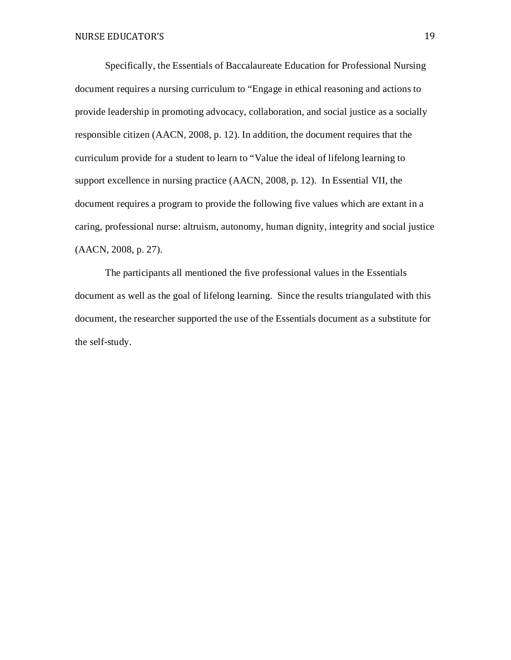Specifically, the Essentials of Baccalaureate Education for Professional Nursing document requires a nursing curriculum to "Engage in ethical reasoning and actions to provide leadership in promoting advocacy, collaboration, and social justice as a socially responsible citizen (AACN, 2008, p. 12). In addition, the document requires that the curriculum provide for a student to learn to "Value the ideal of lifelong learning to support excellence in nursing practice (AACN, 2008, p. 12). In Essential VII, the document requires a program to provide the following five values which are extant in a caring, professional nurse: altruism, autonomy, human dignity, integrity and social justice (AACN, 2008, p. 27).

The participants all mentioned the five professional values in the Essentials document as well as the goal of lifelong learning. Since the results triangulated with this document, the researcher supported the use of the Essentials document as a substitute for the self-study.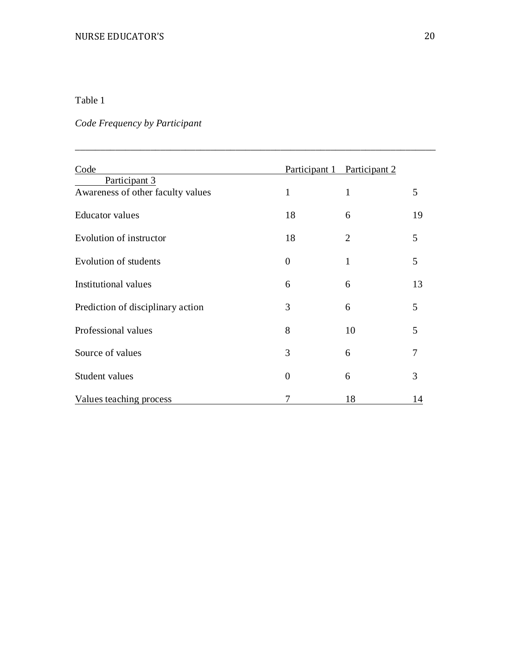# Table 1

# *Code Frequency by Participant*

| Code                              |                | Participant 1 Participant 2 |    |
|-----------------------------------|----------------|-----------------------------|----|
| Participant 3                     |                |                             |    |
| Awareness of other faculty values | $\mathbf{1}$   | 1                           | 5  |
| <b>Educator</b> values            | 18             | 6                           | 19 |
| Evolution of instructor           | 18             | 2                           | 5  |
| Evolution of students             | $\overline{0}$ | 1                           | 5  |
| <b>Institutional values</b>       | 6              | 6                           | 13 |
| Prediction of disciplinary action | 3              | 6                           | 5  |
| Professional values               | 8              | 10                          | 5  |
| Source of values                  | 3              | 6                           | 7  |
| Student values                    | $\overline{0}$ | 6                           | 3  |
| Values teaching process           | 7              | 18                          | 14 |

*\_\_\_\_\_\_\_\_\_\_\_\_\_\_\_\_\_\_\_\_\_\_\_\_\_\_\_\_\_\_\_\_\_\_\_\_\_\_\_\_\_\_\_\_\_\_\_\_\_\_\_\_\_\_\_\_\_\_\_\_\_\_\_\_\_\_\_\_\_\_\_\_*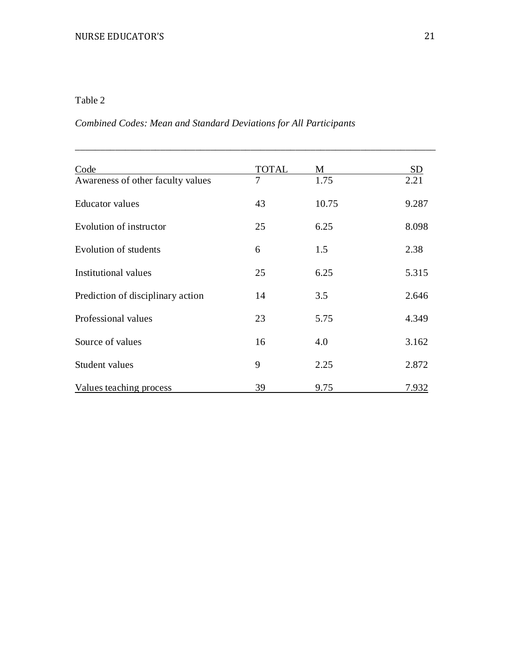# Table 2

# *Combined Codes: Mean and Standard Deviations for All Participants*

| Code                              | <b>TOTAL</b> | M     | <b>SD</b> |
|-----------------------------------|--------------|-------|-----------|
| Awareness of other faculty values | 7            | 1.75  | 2.21      |
| <b>Educator</b> values            | 43           | 10.75 | 9.287     |
| Evolution of instructor           | 25           | 6.25  | 8.098     |
| Evolution of students             | 6            | 1.5   | 2.38      |
| <b>Institutional values</b>       | 25           | 6.25  | 5.315     |
| Prediction of disciplinary action | 14           | 3.5   | 2.646     |
| Professional values               | 23           | 5.75  | 4.349     |
| Source of values                  | 16           | 4.0   | 3.162     |
| Student values                    | 9            | 2.25  | 2.872     |
| Values teaching process           | 39           | 9.75  | 7.932     |

\_\_\_\_\_\_\_\_\_\_\_\_\_\_\_\_\_\_\_\_\_\_\_\_\_\_\_\_\_\_\_\_\_\_\_\_\_\_\_\_\_\_\_\_\_\_\_\_\_\_\_\_\_\_\_\_\_\_\_\_\_\_\_\_\_\_\_\_\_\_\_\_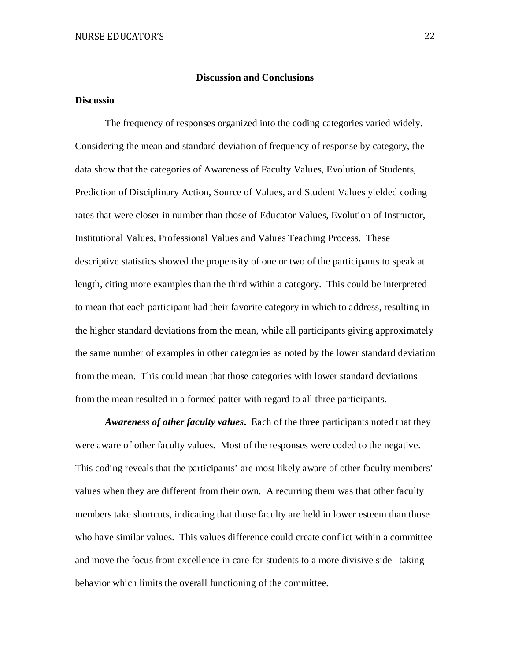#### **Discussion and Conclusions**

# **Discussio**

The frequency of responses organized into the coding categories varied widely. Considering the mean and standard deviation of frequency of response by category, the data show that the categories of Awareness of Faculty Values, Evolution of Students, Prediction of Disciplinary Action, Source of Values, and Student Values yielded coding rates that were closer in number than those of Educator Values, Evolution of Instructor, Institutional Values, Professional Values and Values Teaching Process. These descriptive statistics showed the propensity of one or two of the participants to speak at length, citing more examples than the third within a category. This could be interpreted to mean that each participant had their favorite category in which to address, resulting in the higher standard deviations from the mean, while all participants giving approximately the same number of examples in other categories as noted by the lower standard deviation from the mean. This could mean that those categories with lower standard deviations from the mean resulted in a formed patter with regard to all three participants.

*Awareness of other faculty values***.** Each of the three participants noted that they were aware of other faculty values. Most of the responses were coded to the negative. This coding reveals that the participants' are most likely aware of other faculty members' values when they are different from their own. A recurring them was that other faculty members take shortcuts, indicating that those faculty are held in lower esteem than those who have similar values. This values difference could create conflict within a committee and move the focus from excellence in care for students to a more divisive side –taking behavior which limits the overall functioning of the committee.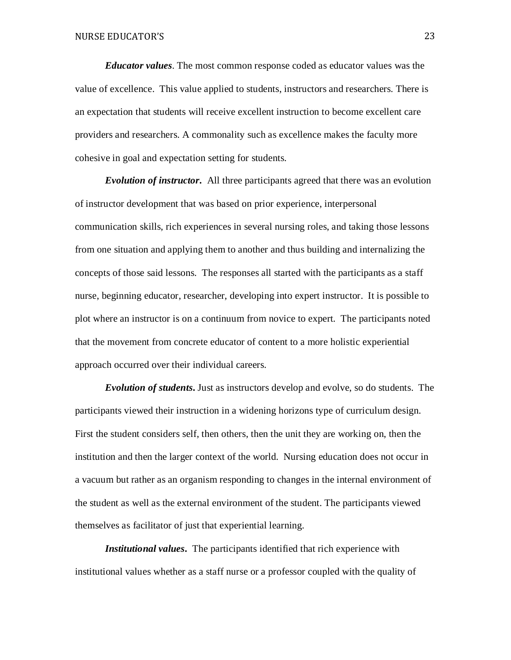*Educator values*. The most common response coded as educator values was the value of excellence. This value applied to students, instructors and researchers. There is an expectation that students will receive excellent instruction to become excellent care providers and researchers. A commonality such as excellence makes the faculty more cohesive in goal and expectation setting for students.

*Evolution of instructor***.** All three participants agreed that there was an evolution of instructor development that was based on prior experience, interpersonal communication skills, rich experiences in several nursing roles, and taking those lessons from one situation and applying them to another and thus building and internalizing the concepts of those said lessons. The responses all started with the participants as a staff nurse, beginning educator, researcher, developing into expert instructor. It is possible to plot where an instructor is on a continuum from novice to expert. The participants noted that the movement from concrete educator of content to a more holistic experiential approach occurred over their individual careers.

*Evolution of students***.** Just as instructors develop and evolve, so do students. The participants viewed their instruction in a widening horizons type of curriculum design. First the student considers self, then others, then the unit they are working on, then the institution and then the larger context of the world. Nursing education does not occur in a vacuum but rather as an organism responding to changes in the internal environment of the student as well as the external environment of the student. The participants viewed themselves as facilitator of just that experiential learning.

*Institutional values***.** The participants identified that rich experience with institutional values whether as a staff nurse or a professor coupled with the quality of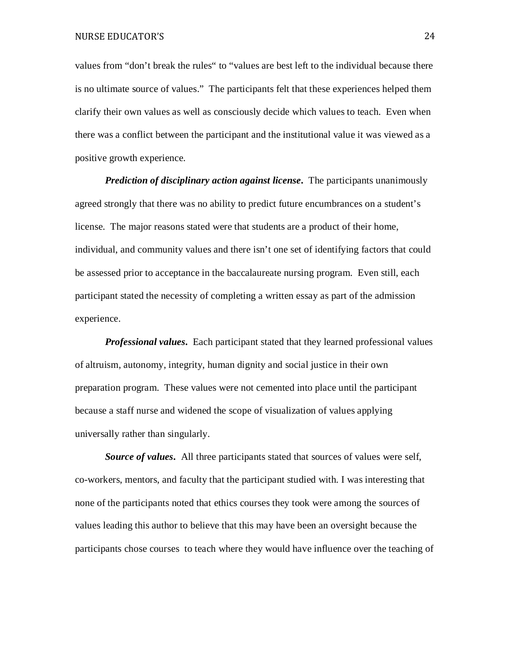values from "don't break the rules" to "values are best left to the individual because there is no ultimate source of values." The participants felt that these experiences helped them clarify their own values as well as consciously decide which values to teach. Even when there was a conflict between the participant and the institutional value it was viewed as a positive growth experience.

*Prediction of disciplinary action against license.* **The participants unanimously** agreed strongly that there was no ability to predict future encumbrances on a student's license. The major reasons stated were that students are a product of their home, individual, and community values and there isn't one set of identifying factors that could be assessed prior to acceptance in the baccalaureate nursing program. Even still, each participant stated the necessity of completing a written essay as part of the admission experience.

*Professional values***.** Each participant stated that they learned professional values of altruism, autonomy, integrity, human dignity and social justice in their own preparation program. These values were not cemented into place until the participant because a staff nurse and widened the scope of visualization of values applying universally rather than singularly.

*Source of values***.** All three participants stated that sources of values were self, co-workers, mentors, and faculty that the participant studied with. I was interesting that none of the participants noted that ethics courses they took were among the sources of values leading this author to believe that this may have been an oversight because the participants chose courses to teach where they would have influence over the teaching of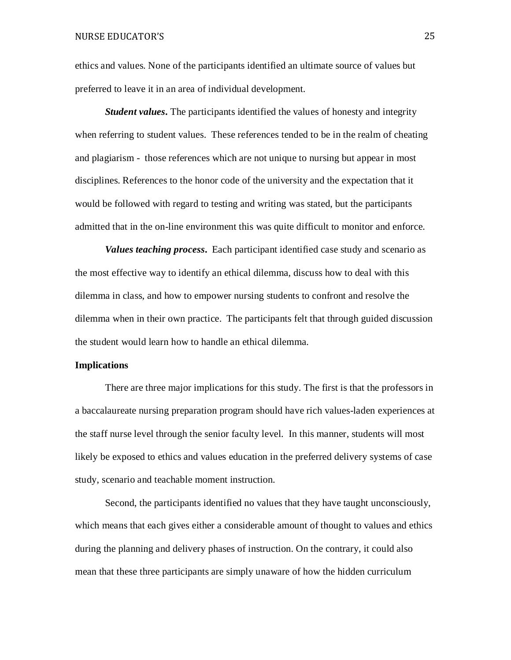ethics and values. None of the participants identified an ultimate source of values but preferred to leave it in an area of individual development.

*Student values***.** The participants identified the values of honesty and integrity when referring to student values. These references tended to be in the realm of cheating and plagiarism - those references which are not unique to nursing but appear in most disciplines. References to the honor code of the university and the expectation that it would be followed with regard to testing and writing was stated, but the participants admitted that in the on-line environment this was quite difficult to monitor and enforce.

*Values teaching process***.** Each participant identified case study and scenario as the most effective way to identify an ethical dilemma, discuss how to deal with this dilemma in class, and how to empower nursing students to confront and resolve the dilemma when in their own practice. The participants felt that through guided discussion the student would learn how to handle an ethical dilemma.

#### **Implications**

There are three major implications for this study. The first is that the professors in a baccalaureate nursing preparation program should have rich values-laden experiences at the staff nurse level through the senior faculty level. In this manner, students will most likely be exposed to ethics and values education in the preferred delivery systems of case study, scenario and teachable moment instruction.

Second, the participants identified no values that they have taught unconsciously, which means that each gives either a considerable amount of thought to values and ethics during the planning and delivery phases of instruction. On the contrary, it could also mean that these three participants are simply unaware of how the hidden curriculum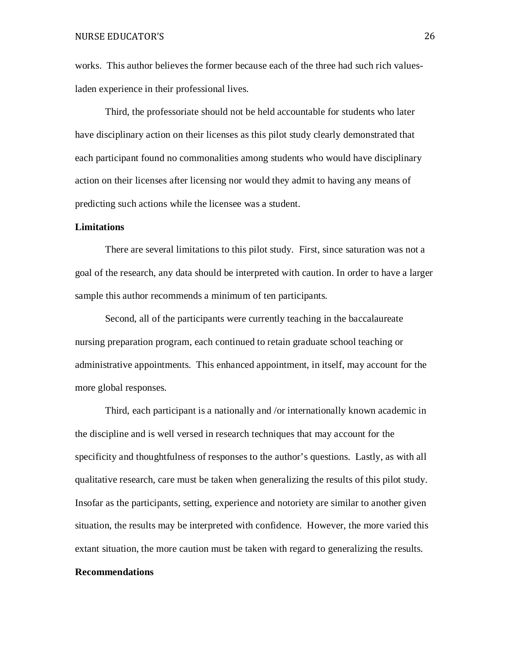works. This author believes the former because each of the three had such rich valuesladen experience in their professional lives.

Third, the professoriate should not be held accountable for students who later have disciplinary action on their licenses as this pilot study clearly demonstrated that each participant found no commonalities among students who would have disciplinary action on their licenses after licensing nor would they admit to having any means of predicting such actions while the licensee was a student.

## **Limitations**

There are several limitations to this pilot study. First, since saturation was not a goal of the research, any data should be interpreted with caution. In order to have a larger sample this author recommends a minimum of ten participants.

Second, all of the participants were currently teaching in the baccalaureate nursing preparation program, each continued to retain graduate school teaching or administrative appointments. This enhanced appointment, in itself, may account for the more global responses.

Third, each participant is a nationally and /or internationally known academic in the discipline and is well versed in research techniques that may account for the specificity and thoughtfulness of responses to the author's questions. Lastly, as with all qualitative research, care must be taken when generalizing the results of this pilot study. Insofar as the participants, setting, experience and notoriety are similar to another given situation, the results may be interpreted with confidence. However, the more varied this extant situation, the more caution must be taken with regard to generalizing the results.

## **Recommendations**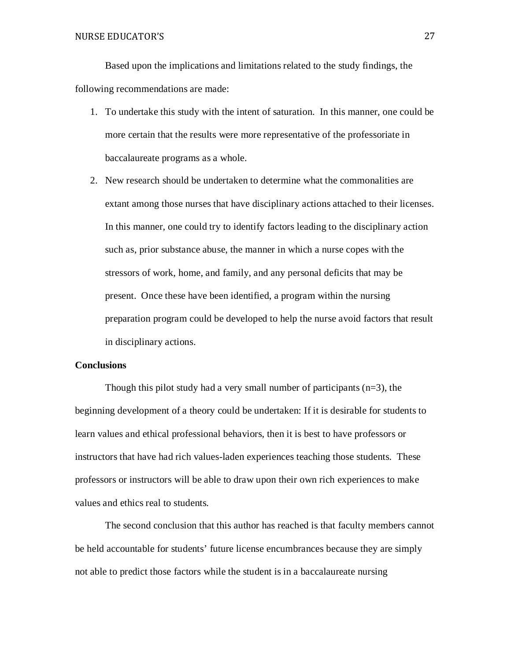Based upon the implications and limitations related to the study findings, the following recommendations are made:

- 1. To undertake this study with the intent of saturation. In this manner, one could be more certain that the results were more representative of the professoriate in baccalaureate programs as a whole.
- 2. New research should be undertaken to determine what the commonalities are extant among those nurses that have disciplinary actions attached to their licenses. In this manner, one could try to identify factors leading to the disciplinary action such as, prior substance abuse, the manner in which a nurse copes with the stressors of work, home, and family, and any personal deficits that may be present. Once these have been identified, a program within the nursing preparation program could be developed to help the nurse avoid factors that result in disciplinary actions.

## **Conclusions**

Though this pilot study had a very small number of participants  $(n=3)$ , the beginning development of a theory could be undertaken: If it is desirable for students to learn values and ethical professional behaviors, then it is best to have professors or instructors that have had rich values-laden experiences teaching those students. These professors or instructors will be able to draw upon their own rich experiences to make values and ethics real to students.

The second conclusion that this author has reached is that faculty members cannot be held accountable for students' future license encumbrances because they are simply not able to predict those factors while the student is in a baccalaureate nursing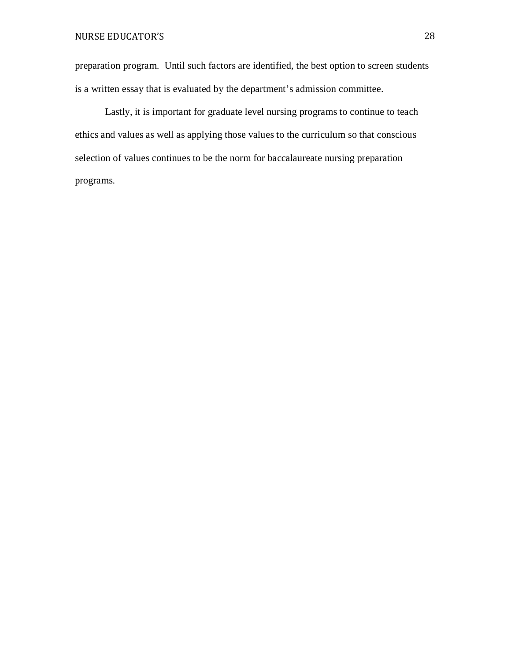preparation program. Until such factors are identified, the best option to screen students is a written essay that is evaluated by the department's admission committee.

Lastly, it is important for graduate level nursing programs to continue to teach ethics and values as well as applying those values to the curriculum so that conscious selection of values continues to be the norm for baccalaureate nursing preparation programs.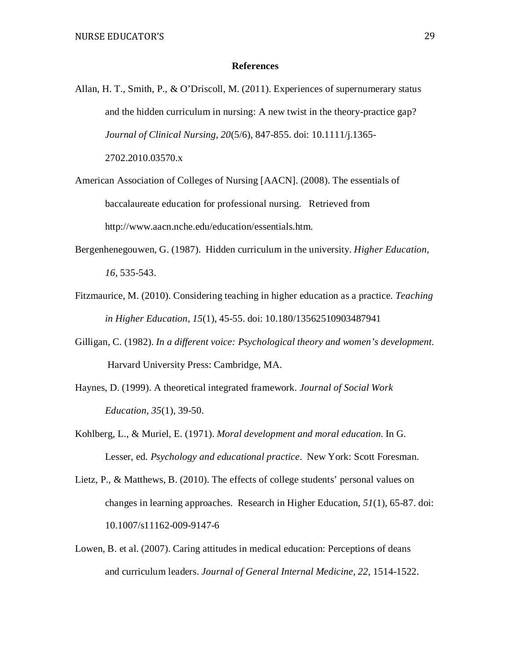### **References**

- Allan, H. T., Smith, P., & O'Driscoll, M. (2011). Experiences of supernumerary status and the hidden curriculum in nursing: A new twist in the theory-practice gap? *Journal of Clinical Nursing, 20*(5/6), 847-855. doi: 10.1111/j.1365- 2702.2010.03570.x
- American Association of Colleges of Nursing [AACN]. (2008). The essentials of baccalaureate education for professional nursing. Retrieved from [http://www.aacn.nche.edu/education/essentials.htm.](http://www.aacn.nche.edu/education/essentials.htm)
- Bergenhenegouwen, G. (1987). Hidden curriculum in the university. *Higher Education, 16,* 535-543.
- Fitzmaurice, M. (2010). Considering teaching in higher education as a practice. *Teaching in Higher Education, 15*(1), 45-55. doi: 10.180/13562510903487941
- Gilligan, C. (1982). *In a different voice: Psychological theory and women's development*. Harvard University Press: Cambridge, MA.
- Haynes, D. (1999). A theoretical integrated framework. *Journal of Social Work Education, 35*(1), 39-50.
- Kohlberg, L., & Muriel, E. (1971). *Moral development and moral education*. In G. Lesser, ed. *Psychology and educational practice*. New York: Scott Foresman.
- Lietz, P., & Matthews, B. (2010). The effects of college students' personal values on changes in learning approaches. Research in Higher Education, *51*(1), 65-87. doi: 10.1007/s11162-009-9147-6
- Lowen, B. et al. (2007). Caring attitudes in medical education: Perceptions of deans and curriculum leaders. *Journal of General Internal Medicine, 22,* 1514-1522.